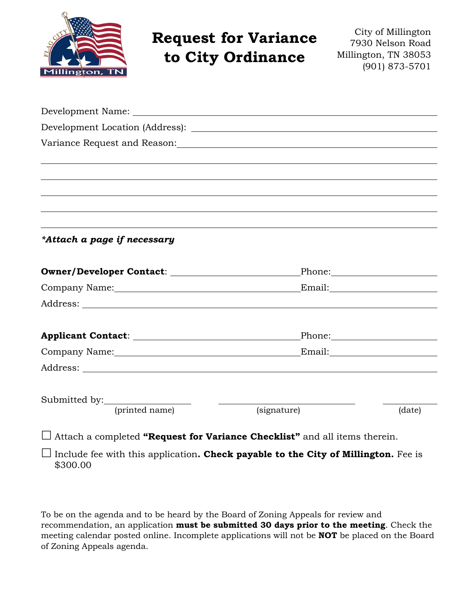

# **Request for Variance to City Ordinance**

City of Millington 7930 Nelson Road Millington, TN 38053 (901) 873-5701

| *Attach a page if necessary |             |        |
|-----------------------------|-------------|--------|
|                             |             |        |
|                             |             |        |
|                             |             |        |
|                             |             |        |
| Company Name: Email: Email: |             |        |
|                             |             |        |
|                             |             |        |
| (printed name)              | (signature) | (date) |

Attach a completed **"Request for Variance Checklist"** and all items therein.

 $\Box$  Include fee with this application. **Check payable to the City of Millington.** Fee is \$300.00

To be on the agenda and to be heard by the Board of Zoning Appeals for review and recommendation, an application **must be submitted 30 days prior to the meeting**. Check the meeting calendar posted online. Incomplete applications will not be **NOT** be placed on the Board of Zoning Appeals agenda.